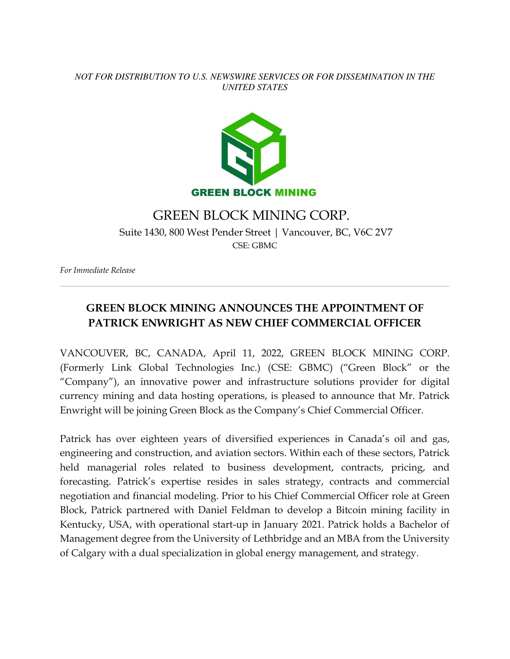### *NOT FOR DISTRIBUTION TO U.S. NEWSWIRE SERVICES OR FOR DISSEMINATION IN THE UNITED STATES*



## GREEN BLOCK MINING CORP.

 Suite 1430, 800 West Pender Street | Vancouver, BC, V6C 2V7 CSE: GBMC

*For Immediate Release* 

# **GREEN BLOCK MINING ANNOUNCES THE APPOINTMENT OF PATRICK ENWRIGHT AS NEW CHIEF COMMERCIAL OFFICER**

VANCOUVER, BC, CANADA, April 11, 2022, GREEN BLOCK MINING CORP. (Formerly Link Global Technologies Inc.) (CSE: GBMC) ("Green Block" or the "Company"), an innovative power and infrastructure solutions provider for digital currency mining and data hosting operations, is pleased to announce that Mr. Patrick Enwright will be joining Green Block as the Company's Chief Commercial Officer.

Patrick has over eighteen years of diversified experiences in Canada's oil and gas, engineering and construction, and aviation sectors. Within each of these sectors, Patrick held managerial roles related to business development, contracts, pricing, and forecasting. Patrick's expertise resides in sales strategy, contracts and commercial negotiation and financial modeling. Prior to his Chief Commercial Officer role at Green Block, Patrick partnered with Daniel Feldman to develop a Bitcoin mining facility in Kentucky, USA, with operational start-up in January 2021. Patrick holds a Bachelor of Management degree from the University of Lethbridge and an MBA from the University of Calgary with a dual specialization in global energy management, and strategy.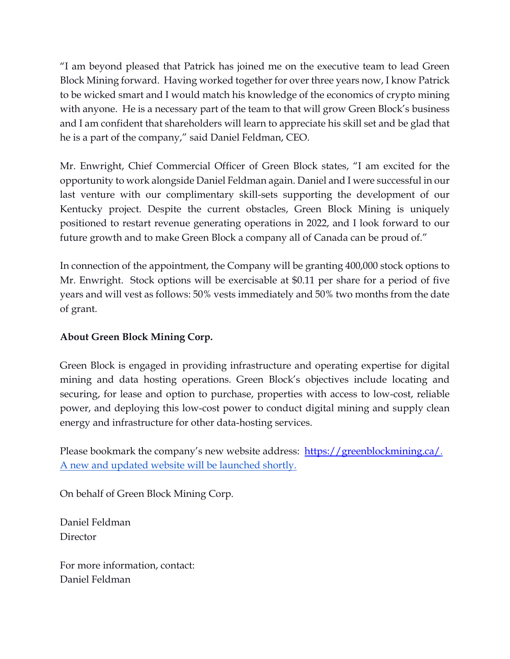"I am beyond pleased that Patrick has joined me on the executive team to lead Green Block Mining forward. Having worked together for over three years now, I know Patrick to be wicked smart and I would match his knowledge of the economics of crypto mining with anyone. He is a necessary part of the team to that will grow Green Block's business and I am confident that shareholders will learn to appreciate his skill set and be glad that he is a part of the company," said Daniel Feldman, CEO.

Mr. Enwright, Chief Commercial Officer of Green Block states, "I am excited for the opportunity to work alongside Daniel Feldman again. Daniel and I were successful in our last venture with our complimentary skill-sets supporting the development of our Kentucky project. Despite the current obstacles, Green Block Mining is uniquely positioned to restart revenue generating operations in 2022, and I look forward to our future growth and to make Green Block a company all of Canada can be proud of."

In connection of the appointment, the Company will be granting 400,000 stock options to Mr. Enwright. Stock options will be exercisable at \$0.11 per share for a period of five years and will vest as follows: 50% vests immediately and 50% two months from the date of grant.

### **About Green Block Mining Corp.**

Green Block is engaged in providing infrastructure and operating expertise for digital mining and data hosting operations. Green Block's objectives include locating and securing, for lease and option to purchase, properties with access to low-cost, reliable power, and deploying this low-cost power to conduct digital mining and supply clean energy and infrastructure for other data-hosting services.

Please bookmark the company's new website address: https://greenblockmining.ca/. A new and updated website will be launched shortly.

On behalf of Green Block Mining Corp.

Daniel Feldman Director

For more information, contact: Daniel Feldman